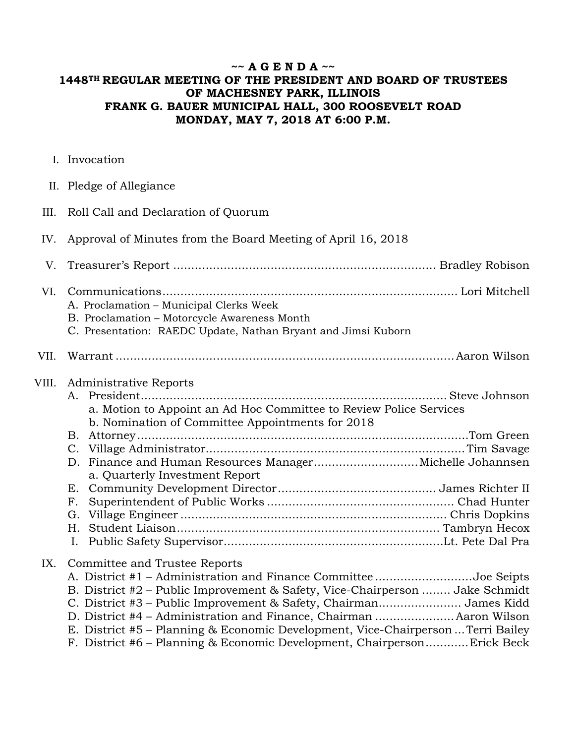## **~~ A G E N D A ~~ 1448TH REGULAR MEETING OF THE PRESIDENT AND BOARD OF TRUSTEES OF MACHESNEY PARK, ILLINOIS FRANK G. BAUER MUNICIPAL HALL, 300 ROOSEVELT ROAD MONDAY, MAY 7, 2018 AT 6:00 P.M.**

I. Invocation

|  | II. Pledge of Allegiance |
|--|--------------------------|
|  |                          |

III. Roll Call and Declaration of Quorum

### IV. Approval of Minutes from the Board Meeting of April 16, 2018

- V. Treasurer's Report ......................................................................... Bradley Robison
- VI. Communications .................................................................................. Lori Mitchell A. Proclamation – Municipal Clerks Week
	- B. Proclamation Motorcycle Awareness Month
	- C. Presentation: RAEDC Update, Nathan Bryant and Jimsi Kuborn

## VII. Warrant .............................................................................................. Aaron Wilson

#### VIII. Administrative Reports

- A. President ..................................................................................... Steve Johnson a. Motion to Appoint an Ad Hoc Committee to Review Police Services
	- b. Nomination of Committee Appointments for 2018
	- B. Attorney ............................................................................................ Tom Green C. Village Administrator ........................................................................ Tim Savage D. Finance and Human Resources Manager ............................. Michelle Johannsen
- a. Quarterly Investment Report E. Community Development Director ............................................ James Richter II
	- F. Superintendent of Public Works .................................................... Chad Hunter G. Village Engineer .......................................................................... Chris Dopkins H. Student Liaison ......................................................................... Tambryn Hecox I. Public Safety Supervisor ............................................................. Lt. Pete Dal Pra

### IX. Committee and Trustee Reports

| A. District #1 – Administration and Finance Committee Joe Seipts                 |  |
|----------------------------------------------------------------------------------|--|
| B. District #2 – Public Improvement & Safety, Vice-Chairperson  Jake Schmidt     |  |
| C. District #3 – Public Improvement & Safety, Chairman James Kidd                |  |
| D. District #4 - Administration and Finance, Chairman  Aaron Wilson              |  |
| E. District #5 – Planning & Economic Development, Vice-Chairperson  Terri Bailey |  |
| F. District #6 – Planning & Economic Development, ChairpersonErick Beck          |  |